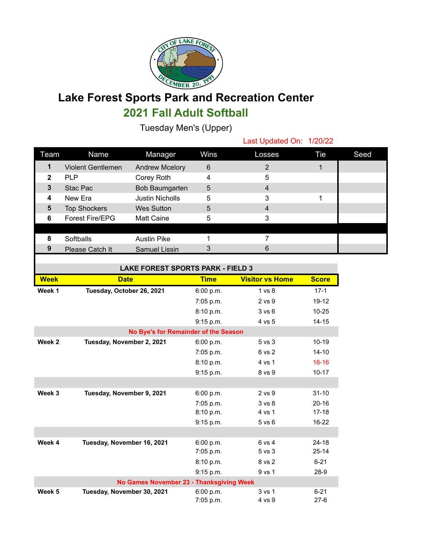

## **Lake Forest Sports Park and Recreation Center**

## **2021 Fall Adult Softball**

Tuesday Men's (Upper)

Last Updated On: 1/20/22

| Team         | <b>Name</b>              | Manager                | Wins | Losses | Tie | Seed |
|--------------|--------------------------|------------------------|------|--------|-----|------|
|              | <b>Violent Gentlemen</b> | <b>Andrew Mcelory</b>  | 6    |        |     |      |
| $\mathbf{2}$ | <b>PLP</b>               | Corey Roth             | 4    | 5      |     |      |
| 3            | Stac Pac                 | Bob Baumgarten         | 5    | 4      |     |      |
| 4            | New Era                  | <b>Justin Nicholls</b> | 5    | 3      |     |      |
| 5            | <b>Top Shockers</b>      | <b>Wes Sutton</b>      | 5    | 4      |     |      |
| 6            | Forest Fire/EPG          | <b>Matt Caine</b>      | 5    | 3      |     |      |
|              |                          |                        |      |        |     |      |
| 8            | Softballs                | <b>Austin Pike</b>     |      |        |     |      |
| 9            | Please Catch It          | Samuel Lissin          | 3    | 6      |     |      |
|              |                          |                        |      |        |     |      |

| <b>LAKE FOREST SPORTS PARK - FIELD 3</b> |                            |             |                        |              |  |  |
|------------------------------------------|----------------------------|-------------|------------------------|--------------|--|--|
| <b>Week</b>                              | <b>Date</b>                | <b>Time</b> | <b>Visitor vs Home</b> | <b>Score</b> |  |  |
| Week 1                                   | Tuesday, October 26, 2021  | 6:00 p.m.   | 1 <sub>vs</sub> 8      | $17 - 1$     |  |  |
|                                          |                            | 7:05 p.m.   | 2 vs 9                 | $19 - 12$    |  |  |
|                                          |                            | 8:10 p.m.   | 3 v s 6                | $10 - 25$    |  |  |
|                                          |                            | 9:15 p.m.   | 4 vs 5                 | $14 - 15$    |  |  |
| No Bye's for Remainder of the Season     |                            |             |                        |              |  |  |
| Week 2                                   | Tuesday, November 2, 2021  | 6:00 p.m.   | $5$ vs $3$             | $10 - 19$    |  |  |
|                                          |                            | $7:05$ p.m. | 6 vs 2                 | $14 - 10$    |  |  |
|                                          |                            | 8:10 p.m.   | 4 vs 1                 | $16 - 16$    |  |  |
|                                          |                            | 9:15 p.m.   | 8 vs 9                 | $10 - 17$    |  |  |
|                                          |                            |             |                        |              |  |  |
| Week 3                                   | Tuesday, November 9, 2021  | 6:00 p.m.   | 2 vs 9                 | $31 - 10$    |  |  |
|                                          |                            | 7:05 p.m.   | 3 <sub>vs</sub> 8      | $20 - 16$    |  |  |
|                                          |                            | 8:10 p.m.   | 4 vs 1                 | $17 - 18$    |  |  |
|                                          |                            | 9:15 p.m.   | $5$ vs $6$             | 16-22        |  |  |
|                                          |                            |             |                        |              |  |  |
| Week 4                                   | Tuesday, November 16, 2021 | 6:00 p.m.   | 6 vs 4                 | $24 - 18$    |  |  |
|                                          |                            | 7:05 p.m.   | 5 <sub>vs</sub> 3      | $25 - 14$    |  |  |
|                                          |                            | 8:10 p.m.   | 8 vs 2                 | $6 - 21$     |  |  |
|                                          |                            | 9:15 p.m.   | 9 vs 1                 | $28-9$       |  |  |
| No Games November 23 - Thanksgiving Week |                            |             |                        |              |  |  |
| Week 5                                   | Tuesday, November 30, 2021 | 6:00 p.m.   | 3 <sub>vs</sub> 1      | $6 - 21$     |  |  |
|                                          |                            | 7:05 p.m.   | 4 vs 9                 | $27-6$       |  |  |